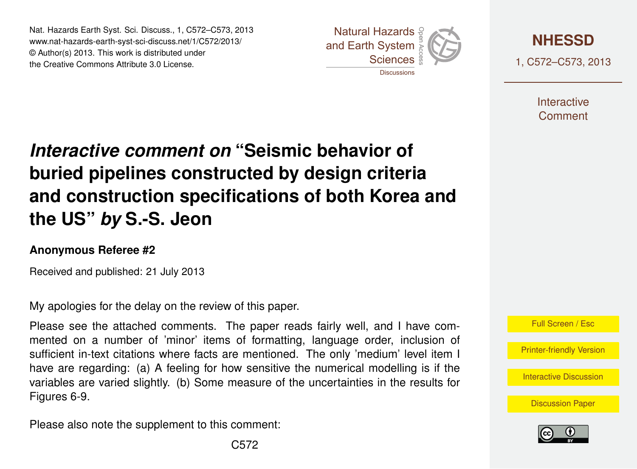Nat. Hazards Earth Syst. Sci. Discuss., 1, C572–C573, 2013 Natural Hazards www.nat-hazards-earth-syst-sci-discuss.net/1/C572/2013/<br>@ Author(o) 2013, Thio work is distributed under © Author(s) 2013. This work is distributed under the Creative Commons Attribute 3.0 License. sciences<br>Sciences  $\frac{2C}{3}$ 





1, C572–C573, 2013

**Interactive** Comment

## aant an ment on buried pipelines constructed by design criteria  $\epsilon$  $\sim$ ior of *Interactive comment on* **"Seismic behavior of** a<br>a Biogeosciences **the US"** *by* **S.-S. Jeon**  $\mathbf c$  $\overline{a}$ **and construction specifications of both Korea and**

## **Anonymous Referee #2**

 $\overline{\phantom{a}}$ Received and published: 21 July 2013

My apologies for the delay on the review of this paper.

emmente Th mented on a number of 'minor' items of formatting, language order, inclusion of ינ<br>ס v<br>u Please see the attached comments. The paper reads fairly well, and I have comhave are regarding: (a) A feeling for how sensitive the numerical modelling is if the variables are varied slightly. (b) Some measure of the uncertainties in the results for  $\sqrt{2}$ v<br>e l<br>SS sufficient in-text citations where facts are mentioned. The only 'medium' level item I Figures 6-9.

Geoscientific Please also note the supplement to this comment: